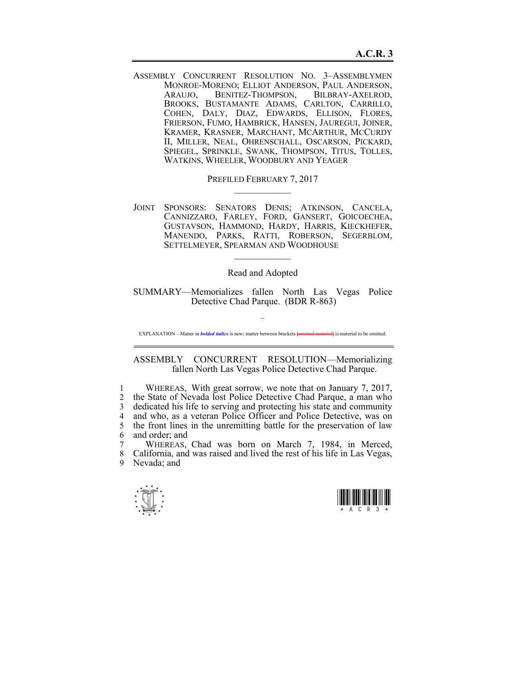ASSEMBLY CONCURRENT RESOLUTION NO. 3–ASSEMBLYMEN MONROE-MORENO; ELLIOT ANDERSON, PAUL ANDERSON, ARAUJO, BENITEZ-THOMPSON, BILBRAY-AXELROD, BROOKS, BUSTAMANTE ADAMS, CARLTON, CARRILLO, COHEN, DALY, DIAZ, EDWARDS, ELLISON, FLORES, FRIERSON, FUMO, HAMBRICK, HANSEN, JAUREGUI, JOINER, KRAMER, KRASNER, MARCHANT, MCARTHUR, MCCURDY II, MILLER, NEAL, OHRENSCHALL, OSCARSON, PICKARD, SPIEGEL, SPRINKLE, SWANK, THOMPSON, TITUS, TOLLES, WATKINS, WHEELER, WOODBURY AND YEAGER

> PREFILED FEBRUARY 7, 2017  $\mathcal{L}_\text{max}$

JOINT SPONSORS: SENATORS DENIS; ATKINSON, CANCELA, CANNIZZARO, FARLEY, FORD, GANSERT, GOICOECHEA, GUSTAVSON, HAMMOND, HARDY, HARRIS, KIECKHEFER, MANENDO, PARKS, RATTI, ROBERSON, SEGERBLOM, SETTELMEYER, SPEARMAN AND WOODHOUSE  $\mathcal{L}_\text{max}$ 

Read and Adopted

SUMMARY—Memorializes fallen North Las Vegas Police Detective Chad Parque. (BDR R-863)

~ EXPLANATION – Matter in *bolded italics* is new; matter between brackets **{omitted material}** is material to be omitted.

## ASSEMBLY CONCURRENT RESOLUTION—Memorializing fallen North Las Vegas Police Detective Chad Parque.

1 WHEREAS, With great sorrow, we note that on January 7, 2017, 2 the State of Nevada lost Police Detective Chad Parque, a man who 3 dedicated his life to serving and protecting his state and community 4 and who, as a veteran Police Officer and Police Detective, was on 5 the front lines in the unremitting battle for the preservation of law 6 and order; and

7 WHEREAS, Chad was born on March 7, 1984, in Merced, 8 California, and was raised and lived the rest of his life in Las Vegas, 9 Nevada; and



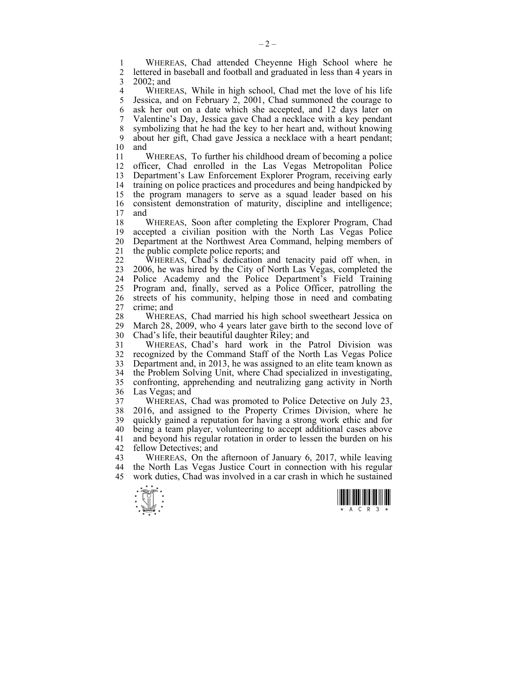1 WHEREAS, Chad attended Cheyenne High School where he<br>2 lettered in baseball and football and graduated in less than 4 years in 2 lettered in baseball and football and graduated in less than 4 years in 3 2002; and

4 WHEREAS, While in high school, Chad met the love of his life<br>5 Jessica, and on February 2, 2001. Chad summoned the courage to Jessica, and on February 2, 2001, Chad summoned the courage to 6 ask her out on a date which she accepted, and 12 days later on 7 Valentine's Day, Jessica gave Chad a necklace with a key pendant 8 symbolizing that he had the key to her heart and, without knowing 9 about her gift, Chad gave Jessica a necklace with a heart pendant; 10 and

11 WHEREAS, To further his childhood dream of becoming a police 12 officer, Chad enrolled in the Las Vegas Metropolitan Police 13 Department's Law Enforcement Explorer Program, receiving early 14 training on police practices and procedures and being handpicked by 15 the program managers to serve as a squad leader based on his 16 consistent demonstration of maturity, discipline and intelligence;<br>17 and and

18 WHEREAS, Soon after completing the Explorer Program, Chad 19 accepted a civilian position with the North Las Vegas Police 20 Department at the Northwest Area Command, helping members of 21 the public complete police reports; and

22 WHEREAS, Chad's dedication and tenacity paid off when, in 23 2006, he was hired by the City of North Las Vegas, completed the 24 Police Academy and the Police Department's Field Training 25 Program and, finally, served as a Police Officer, patrolling the 26 streets of his community, helping those in need and combating 27 crime; and

28 WHEREAS, Chad married his high school sweetheart Jessica on<br>29 March 28, 2009, who 4 years later gave birth to the second love of March 28, 2009, who 4 years later gave birth to the second love of 30 Chad's life, their beautiful daughter Riley; and

31 WHEREAS, Chad's hard work in the Patrol Division was 32 recognized by the Command Staff of the North Las Vegas Police 33 Department and, in 2013, he was assigned to an elite team known as 34 the Problem Solving Unit, where Chad specialized in investigating, 35 confronting, apprehending and neutralizing gang activity in North 36 Las Vegas; and

37 WHEREAS, Chad was promoted to Police Detective on July 23, 38 2016, and assigned to the Property Crimes Division, where he 39 quickly gained a reputation for having a strong work ethic and for 40 being a team player, volunteering to accept additional cases above 41 and beyond his regular rotation in order to lessen the burden on his 42 fellow Detectives; and

43 WHEREAS, On the afternoon of January 6, 2017, while leaving 44 the North Las Vegas Justice Court in connection with his regular 45 work duties, Chad was involved in a car crash in which he sustained